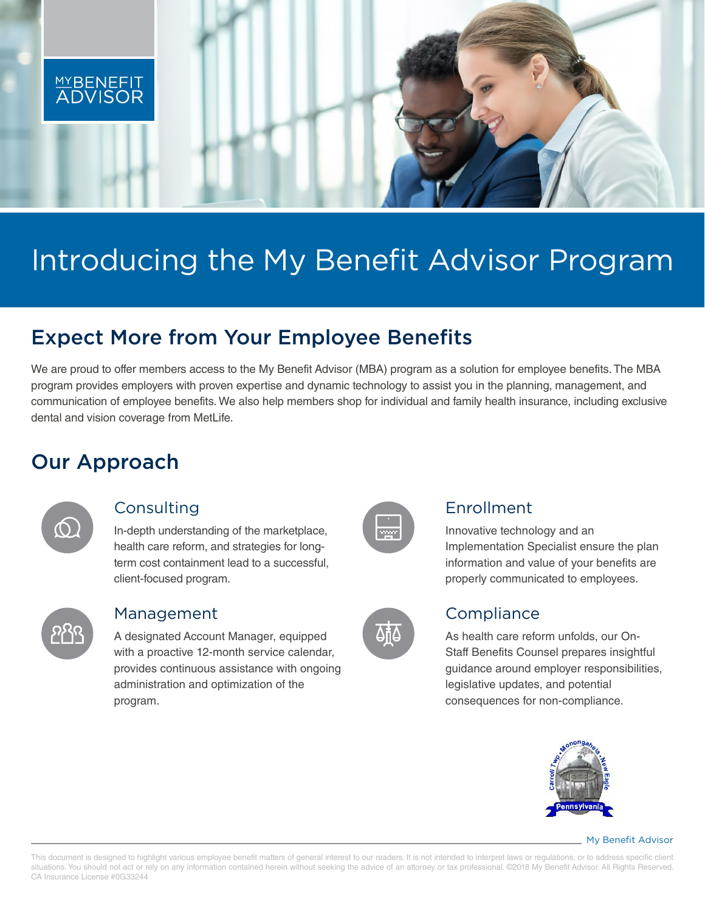

# Introducing the My Benefit Advisor Program

## Expect More from Your Employee Benefits

We are proud to offer members access to the My Benefit Advisor (MBA) program as a solution for employee benefits. The MBA program provides employers with proven expertise and dynamic technology to assist you in the planning, management, and communication of employee benefits. We also help members shop for individual and family health insurance, including exclusive dental and vision coverage from MetLife.

## Our Approach



## Consulting

In-depth understanding of the marketplace, health care reform, and strategies for longterm cost containment lead to a successful, client-focused program.



#### Management

A designated Account Manager, equipped with a proactive 12-month service calendar, provides continuous assistance with ongoing administration and optimization of the program.

| 1005030 |
|---------|
|         |

## Enrollment

Innovative technology and an Implementation Specialist ensure the plan information and value of your benefits are properly communicated to employees.



## **Compliance**

As health care reform unfolds, our On-Staff Benefits Counsel prepares insightful guidance around employer responsibilities, legislative updates, and potential consequences for non-compliance.



#### My Benefit Advisor

This document is designed to highlight various employee benefit matters of general interest to our readers. It is not intended to interpret laws or regulations, or to address specific client situations. You should not act or rely on any information contained herein without seeking the advice of an attorney or tax professional. ©2018 My Benefit Advisor. All Rights Reserved. CA Insurance License #0G33244